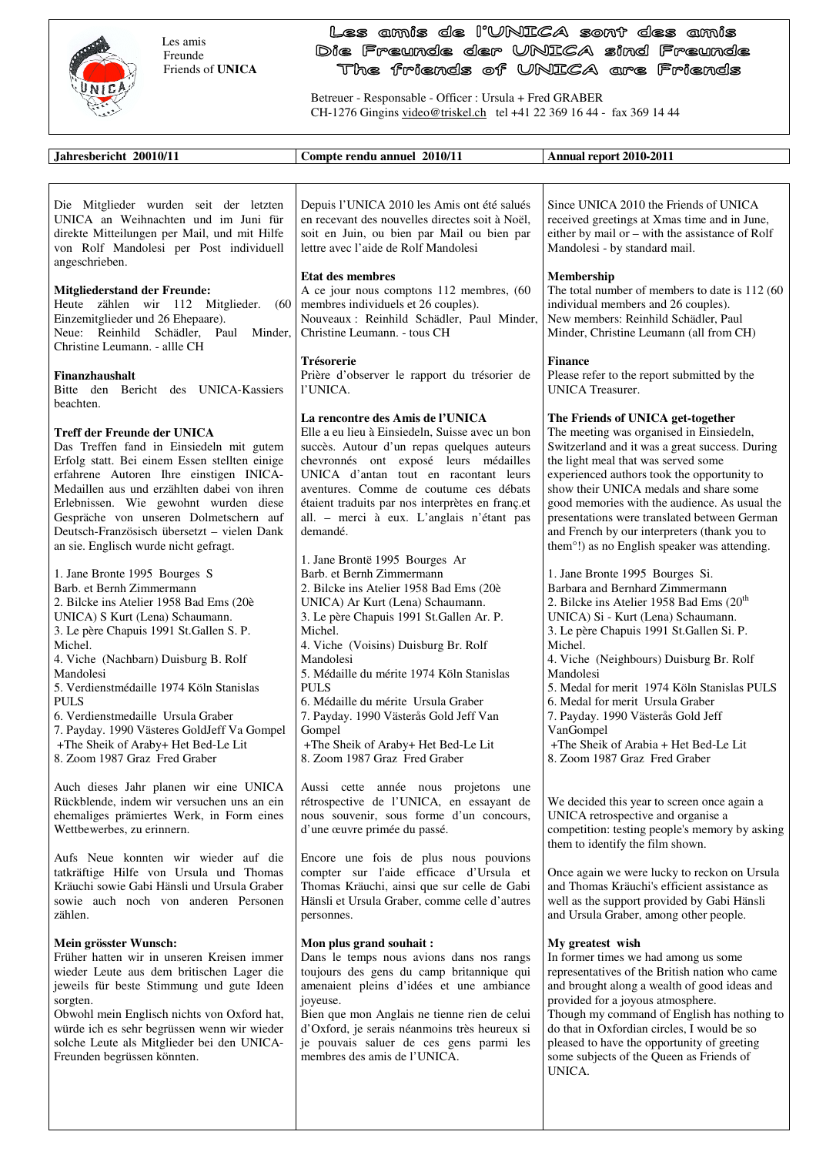

Freunden begrüssen könnten.

 Les amis Freunde Friends of **UNICA**

## Les amis de l'UNICA sont des amis Die Freunde der UNICA sind Freunde The friends of UNICA are Friends

Betreuer - Responsable - Officer : Ursula + Fred GRABER CH-1276 Gingins video@triskel.ch tel +41 22 369 16 44 - fax 369 14 44

| Jahresbericht 20010/11                                                                                                                                                                                                                                                                                                                                                                                                                                                       | Compte rendu annuel 2010/11                                                                                                                                                                                                                                                                                                                                                                                                                                                            | Annual report 2010-2011                                                                                                                                                                                                                                                                                                                                                                                                                                                                            |
|------------------------------------------------------------------------------------------------------------------------------------------------------------------------------------------------------------------------------------------------------------------------------------------------------------------------------------------------------------------------------------------------------------------------------------------------------------------------------|----------------------------------------------------------------------------------------------------------------------------------------------------------------------------------------------------------------------------------------------------------------------------------------------------------------------------------------------------------------------------------------------------------------------------------------------------------------------------------------|----------------------------------------------------------------------------------------------------------------------------------------------------------------------------------------------------------------------------------------------------------------------------------------------------------------------------------------------------------------------------------------------------------------------------------------------------------------------------------------------------|
|                                                                                                                                                                                                                                                                                                                                                                                                                                                                              |                                                                                                                                                                                                                                                                                                                                                                                                                                                                                        |                                                                                                                                                                                                                                                                                                                                                                                                                                                                                                    |
| Die Mitglieder wurden seit der letzten<br>UNICA an Weihnachten und im Juni für<br>direkte Mitteilungen per Mail, und mit Hilfe<br>von Rolf Mandolesi per Post individuell<br>angeschrieben.                                                                                                                                                                                                                                                                                  | Depuis l'UNICA 2010 les Amis ont été salués<br>en recevant des nouvelles directes soit à Noël,<br>soit en Juin, ou bien par Mail ou bien par<br>lettre avec l'aide de Rolf Mandolesi                                                                                                                                                                                                                                                                                                   | Since UNICA 2010 the Friends of UNICA<br>received greetings at Xmas time and in June,<br>either by mail or – with the assistance of Rolf<br>Mandolesi - by standard mail.                                                                                                                                                                                                                                                                                                                          |
| <b>Mitgliederstand der Freunde:</b><br>Heute zählen wir 112 Mitglieder.<br>(60)<br>Einzemitglieder und 26 Ehepaare).<br>Neue: Reinhild Schädler, Paul<br>Minder,<br>Christine Leumann. - allle CH                                                                                                                                                                                                                                                                            | <b>Etat des membres</b><br>A ce jour nous comptons 112 membres, (60<br>membres individuels et 26 couples).<br>Nouveaux : Reinhild Schädler, Paul Minder,<br>Christine Leumann. - tous CH                                                                                                                                                                                                                                                                                               | Membership<br>The total number of members to date is 112 (60)<br>individual members and 26 couples).<br>New members: Reinhild Schädler, Paul<br>Minder, Christine Leumann (all from CH)                                                                                                                                                                                                                                                                                                            |
| Finanzhaushalt<br>Bitte den Bericht des UNICA-Kassiers<br>beachten.                                                                                                                                                                                                                                                                                                                                                                                                          | Trésorerie<br>Prière d'observer le rapport du trésorier de<br>l'UNICA.                                                                                                                                                                                                                                                                                                                                                                                                                 | <b>Finance</b><br>Please refer to the report submitted by the<br><b>UNICA</b> Treasurer.                                                                                                                                                                                                                                                                                                                                                                                                           |
| Treff der Freunde der UNICA<br>Das Treffen fand in Einsiedeln mit gutem<br>Erfolg statt. Bei einem Essen stellten einige<br>erfahrene Autoren Ihre einstigen INICA-<br>Medaillen aus und erzählten dabei von ihren<br>Erlebnissen. Wie gewohnt wurden diese<br>Gespräche von unseren Dolmetschern auf<br>Deutsch-Französisch übersetzt – vielen Dank<br>an sie. Englisch wurde nicht gefragt.                                                                                | <b>La rencontre des Amis de l'UNICA</b><br>Elle a eu lieu à Einsiedeln, Suisse avec un bon<br>succès. Autour d'un repas quelques auteurs<br>chevronnés ont exposé leurs médailles<br>UNICA d'antan tout en racontant leurs<br>aventures. Comme de coutume ces débats<br>étaient traduits par nos interprètes en franç.et<br>all. - merci à eux. L'anglais n'étant pas<br>demandé.                                                                                                      | The Friends of UNICA get-together<br>The meeting was organised in Einsiedeln,<br>Switzerland and it was a great success. During<br>the light meal that was served some<br>experienced authors took the opportunity to<br>show their UNICA medals and share some<br>good memories with the audience. As usual the<br>presentations were translated between German<br>and French by our interpreters (thank you to<br>them <sup>o</sup> !) as no English speaker was attending.                      |
| 1. Jane Bronte 1995 Bourges S<br>Barb. et Bernh Zimmermann<br>2. Bilcke ins Atelier 1958 Bad Ems (20è<br>UNICA) S Kurt (Lena) Schaumann.<br>3. Le père Chapuis 1991 St. Gallen S. P.<br>Michel.<br>4. Viche (Nachbarn) Duisburg B. Rolf<br>Mandolesi<br>5. Verdienstmédaille 1974 Köln Stanislas<br><b>PULS</b><br>6. Verdienstmedaille Ursula Graber<br>7. Payday. 1990 Västeres GoldJeff Va Gompel<br>+The Sheik of Araby+ Het Bed-Le Lit<br>8. Zoom 1987 Graz Fred Graber | 1. Jane Brontë 1995 Bourges Ar<br>Barb. et Bernh Zimmermann<br>2. Bilcke ins Atelier 1958 Bad Ems (20è<br>UNICA) Ar Kurt (Lena) Schaumann.<br>3. Le père Chapuis 1991 St. Gallen Ar. P.<br>Michel.<br>4. Viche (Voisins) Duisburg Br. Rolf<br>Mandolesi<br>5. Médaille du mérite 1974 Köln Stanislas<br><b>PULS</b><br>6. Médaille du mérite Ursula Graber<br>7. Payday. 1990 Västerås Gold Jeff Van<br>Gompel<br>+The Sheik of Araby+ Het Bed-Le Lit<br>8. Zoom 1987 Graz Fred Graber | 1. Jane Bronte 1995 Bourges Si.<br>Barbara and Bernhard Zimmermann<br>2. Bilcke ins Atelier 1958 Bad Ems (20 <sup>th</sup> )<br>UNICA) Si - Kurt (Lena) Schaumann.<br>3. Le père Chapuis 1991 St. Gallen Si. P.<br>Michel.<br>4. Viche (Neighbours) Duisburg Br. Rolf<br>Mandolesi<br>5. Medal for merit 1974 Köln Stanislas PULS<br>6. Medal for merit Ursula Graber<br>7. Payday. 1990 Västerås Gold Jeff<br>VanGompel<br>+The Sheik of Arabia + Het Bed-Le Lit<br>8. Zoom 1987 Graz Fred Graber |
| Auch dieses Jahr planen wir eine UNICA<br>Rückblende, indem wir versuchen uns an ein<br>ehemaliges prämiertes Werk, in Form eines<br>Wettbewerbes, zu erinnern.                                                                                                                                                                                                                                                                                                              | Aussi cette année nous projetons une<br>rétrospective de l'UNICA, en essayant de<br>nous souvenir, sous forme d'un concours,<br>d'une œuvre primée du passé.                                                                                                                                                                                                                                                                                                                           | We decided this year to screen once again a<br>UNICA retrospective and organise a<br>competition: testing people's memory by asking<br>them to identify the film shown.                                                                                                                                                                                                                                                                                                                            |
| Aufs Neue konnten wir wieder auf die<br>tatkräftige Hilfe von Ursula und Thomas<br>Kräuchi sowie Gabi Hänsli und Ursula Graber<br>sowie auch noch von anderen Personen<br>zählen.                                                                                                                                                                                                                                                                                            | Encore une fois de plus nous pouvions<br>compter sur l'aide efficace d'Ursula et<br>Thomas Kräuchi, ainsi que sur celle de Gabi<br>Hänsli et Ursula Graber, comme celle d'autres<br>personnes.                                                                                                                                                                                                                                                                                         | Once again we were lucky to reckon on Ursula<br>and Thomas Kräuchi's efficient assistance as<br>well as the support provided by Gabi Hänsli<br>and Ursula Graber, among other people.                                                                                                                                                                                                                                                                                                              |
| Mein grösster Wunsch:<br>Früher hatten wir in unseren Kreisen immer<br>wieder Leute aus dem britischen Lager die<br>jeweils für beste Stimmung und gute Ideen<br>sorgten.<br>Obwohl mein Englisch nichts von Oxford hat,<br>würde ich es sehr begrüssen wenn wir wieder<br>solche Leute als Mitglieder bei den UNICA-                                                                                                                                                        | Mon plus grand souhait :<br>Dans le temps nous avions dans nos rangs<br>toujours des gens du camp britannique qui<br>amenaient pleins d'idées et une ambiance<br>joyeuse.<br>Bien que mon Anglais ne tienne rien de celui<br>d'Oxford, je serais néanmoins très heureux si<br>je pouvais saluer de ces gens parmi les                                                                                                                                                                  | My greatest wish<br>In former times we had among us some<br>representatives of the British nation who came<br>and brought along a wealth of good ideas and<br>provided for a joyous atmosphere.<br>Though my command of English has nothing to<br>do that in Oxfordian circles, I would be so<br>pleased to have the opportunity of greeting                                                                                                                                                       |

membres des amis de l'UNICA.

some subjects of the Queen as Friends of

UNICA.